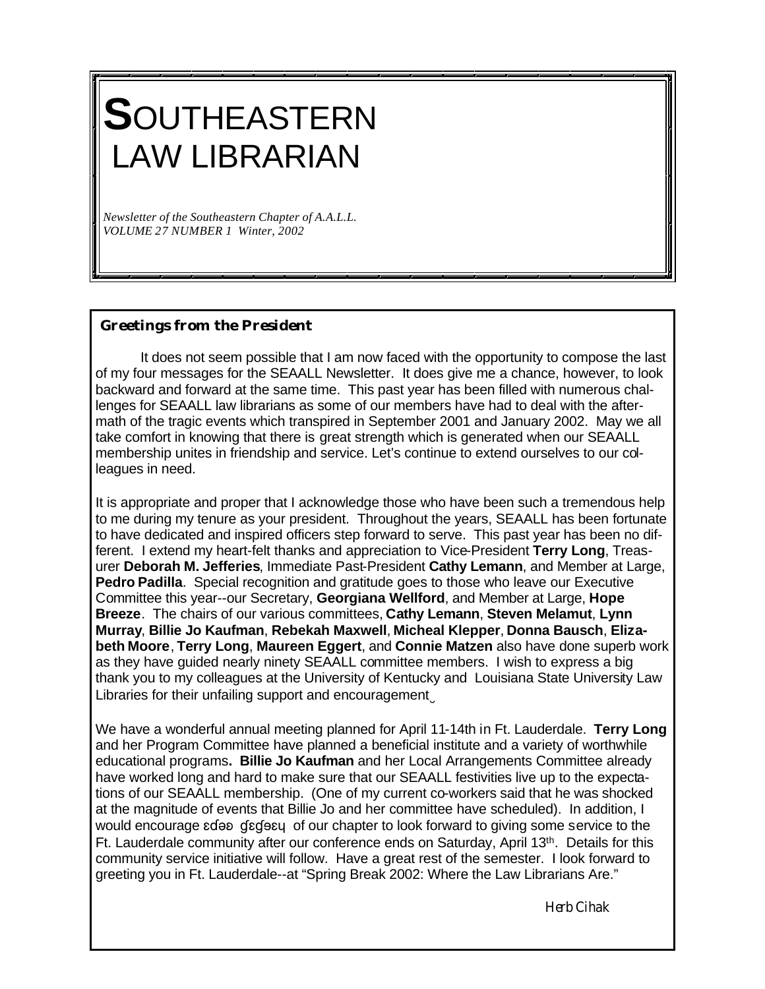*Newsletter of the Southeastern Chapter of A.A.L.L. VOLUME 27 NUMBER 1 Winter, 2002*

# **Greetings from the President**

It does not seem possible that I am now faced with the opportunity to compose the last of my four messages for the SEAALL Newsletter. It does give me a chance, however, to look backward and forward at the same time. This past year has been filled with numerous challenges for SEAALL law librarians as some of our members have had to deal with the aftermath of the tragic events which transpired in September 2001 and January 2002. May we all take comfort in knowing that there is great strength which is generated when our SEAALL membership unites in friendship and service. Let's continue to extend ourselves to our colleagues in need.

It is appropriate and proper that I acknowledge those who have been such a tremendous help to me during my tenure as your president. Throughout the years, SEAALL has been fortunate to have dedicated and inspired officers step forward to serve. This past year has been no different. I extend my heart-felt thanks and appreciation to Vice-President **Terry Long**, Treasurer **Deborah M. Jefferies**, Immediate Past-President **Cathy Lemann**, and Member at Large, **Pedro Padilla**. Special recognition and gratitude goes to those who leave our Executive Committee this year--our Secretary, **Georgiana Wellford**, and Member at Large, **Hope Breeze**. The chairs of our various committees, **Cathy Lemann**, **Steven Melamut**, **Lynn Murray**, **Billie Jo Kaufman**, **Rebekah Maxwell**, **Micheal Klepper**, **Donna Bausch**, **Elizabeth Moore**, **Terry Long**, **Maureen Eggert**, and **Connie Matzen** also have done superb work as they have guided nearly ninety SEAALL committee members. I wish to express a big thank you to my colleagues at the University of Kentucky and Louisiana State University Law Libraries for their unfailing support and encouragement.

We have a wonderful annual meeting planned for April 11-14th in Ft. Lauderdale. **Terry Long**  and her Program Committee have planned a beneficial institute and a variety of worthwhile educational programs**. Billie Jo Kaufman** and her Local Arrangements Committee already have worked long and hard to make sure that our SEAALL festivities live up to the expectations of our SEAALL membership. (One of my current co-workers said that he was shocked at the magnitude of events that Billie Jo and her committee have scheduled). In addition, I would encourage  $\epsilon$ des degesy of our chapter to look forward to giving some service to the Ft. Lauderdale community after our conference ends on Saturday, April 13th. Details for this community service initiative will follow. Have a great rest of the semester. I look forward to greeting you in Ft. Lauderdale--at "Spring Break 2002: Where the Law Librarians Are."

Herb Cihak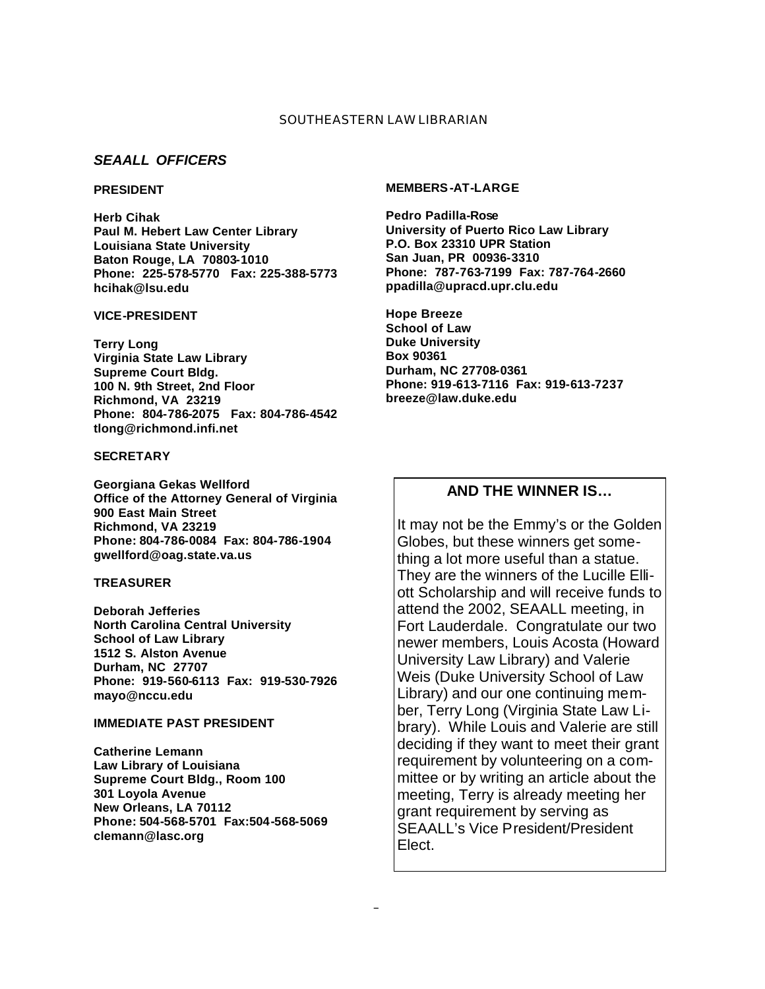#### *SEAALL OFFICERS*

#### **PRESIDENT**

**Herb Cihak Paul M. Hebert Law Center Library Louisiana State University Baton Rouge, LA 70803-1010 Phone: 225-578-5770 Fax: 225-388-5773 hcihak@lsu.edu**

#### **VICE-PRESIDENT**

**Terry Long Virginia State Law Library Supreme Court Bldg. 100 N. 9th Street, 2nd Floor Richmond, VA 23219 Phone: 804-786-2075 Fax: 804-786-4542 tlong@richmond.infi.net**

## **SECRETARY**

**Georgiana Gekas Wellford Office of the Attorney General of Virginia 900 East Main Street Richmond, VA 23219 Phone: 804-786-0084 Fax: 804-786-1904 gwellford@oag.state.va.us**

## **TREASURER**

**Deborah Jefferies North Carolina Central University School of Law Library 1512 S. Alston Avenue Durham, NC 27707 Phone: 919-560-6113 Fax: 919-530-7926 mayo@nccu.edu**

#### **IMMEDIATE PAST PRESIDENT**

**Catherine Lemann Law Library of Louisiana Supreme Court Bldg., Room 100 301 Loyola Avenue New Orleans, LA 70112 Phone: 504-568-5701 Fax:504-568-5069 clemann@lasc.org** 

#### **MEMBERS-AT-LARGE**

**Pedro Padilla-Rose University of Puerto Rico Law Library P.O. Box 23310 UPR Station San Juan, PR 00936-3310 Phone: 787-763-7199 Fax: 787-764-2660 ppadilla@upracd.upr.clu.edu**

**Hope Breeze School of Law Duke University Box 90361 Durham, NC 27708-0361 Phone: 919-613-7116 Fax: 919-613-7237 breeze@law.duke.edu**

#### **AND THE WINNER IS…**

It may not be the Emmy's or the Golden Globes, but these winners get something a lot more useful than a statue. They are the winners of the Lucille Elliott Scholarship and will receive funds to attend the 2002, SEAALL meeting, in Fort Lauderdale. Congratulate our two newer members, Louis Acosta (Howard University Law Library) and Valerie Weis (Duke University School of Law Library) and our one continuing member, Terry Long (Virginia State Law Library). While Louis and Valerie are still deciding if they want to meet their grant requirement by volunteering on a committee or by writing an article about the meeting, Terry is already meeting her grant requirement by serving as SEAALL's Vice President/President Elect.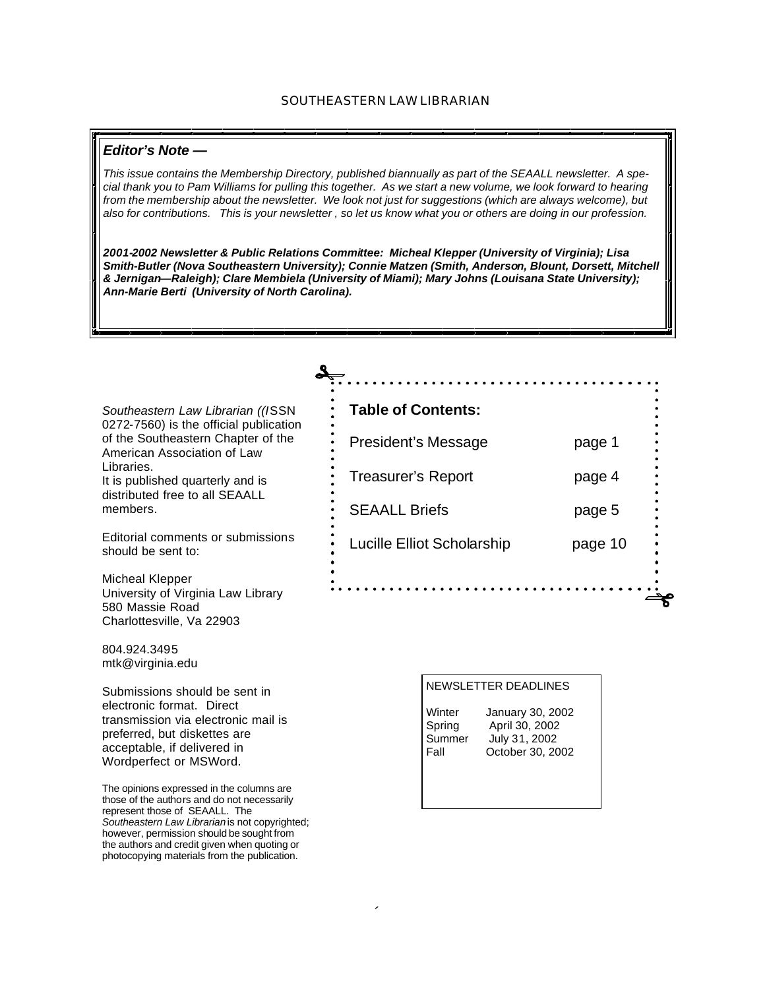## *Editor's Note —*

*This issue contains the Membership Directory, published biannually as part of the SEAALL newsletter. A special thank you to Pam Williams for pulling this together. As we start a new volume, we look forward to hearing from the membership about the newsletter. We look not just for suggestions (which are always welcome), but also for contributions. This is your newsletter , so let us know what you or others are doing in our profession.* 

*2001-2002 Newsletter & Public Relations Committee: Micheal Klepper (University of Virginia); Lisa Smith-Butler (Nova Southeastern University); Connie Matzen (Smith, Anderson, Blount, Dorsett, Mitchell & Jernigan—Raleigh); Clare Membiela (University of Miami); Mary Johns (Louisana State University); Ann-Marie Berti (University of North Carolina).*

*Southeastern Law Librarian ((I*SSN 0272-7560) is the official publication of the Southeastern Chapter of the American Association of Law Libraries. It is published quarterly and is distributed free to all SEAALL members.

Editorial comments or submissions should be sent to:

Micheal Klepper University of Virginia Law Library 580 Massie Road Charlottesville, Va 22903

804.924.3495 mtk@virginia.edu

Submissions should be sent in electronic format. Direct transmission via electronic mail is preferred, but diskettes are acceptable, if delivered in Wordperfect or MSWord.

The opinions expressed in the columns are those of the authors and do not necessarily represent those of SEAALL. The *Southeastern Law Librarian* is not copyrighted; however, permission should be sought from the authors and credit given when quoting or photocopying materials from the publication.

| <b>Table of Contents:</b>  |         |
|----------------------------|---------|
| President's Message        | page 1  |
| <b>Treasurer's Report</b>  | page 4  |
| <b>SEAALL Briefs</b>       | page 5  |
| Lucille Elliot Scholarship | page 10 |
|                            |         |

NEWSLETTER DEADLINES

| Winter | January 30, 2002 |
|--------|------------------|
| Spring | April 30, 2002   |
| Summer | July 31, 2002    |
| Fall   | October 30, 2002 |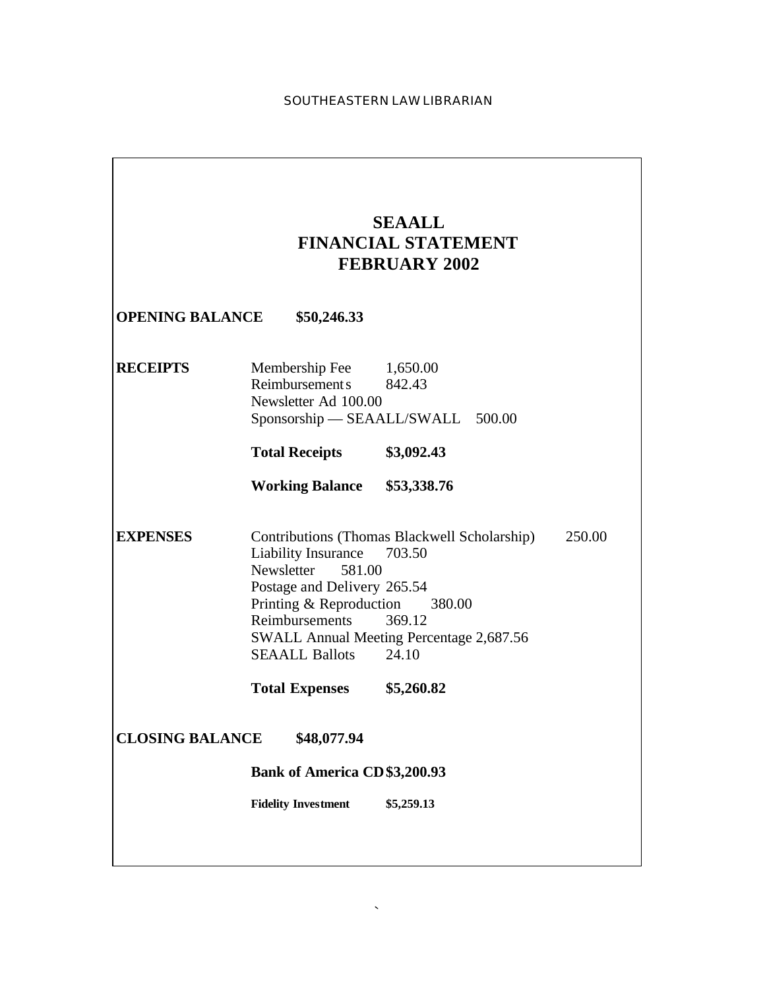| <b>SEAALL</b>              |                                                                    |                                                        |        |  |  |
|----------------------------|--------------------------------------------------------------------|--------------------------------------------------------|--------|--|--|
| <b>FINANCIAL STATEMENT</b> |                                                                    |                                                        |        |  |  |
|                            |                                                                    | <b>FEBRUARY 2002</b>                                   |        |  |  |
| <b>OPENING BALANCE</b>     | \$50,246.33                                                        |                                                        |        |  |  |
| <b>RECEIPTS</b>            | Membership Fee 1,650.00<br>Reimbursement s<br>Newsletter Ad 100.00 | 842.43                                                 |        |  |  |
|                            |                                                                    | Sponsorship - SEAALL/SWALL 500.00                      |        |  |  |
|                            | <b>Total Receipts</b>                                              | \$3,092.43                                             |        |  |  |
|                            | <b>Working Balance \$53,338.76</b>                                 |                                                        |        |  |  |
| <b>EXPENSES</b>            | <b>Liability Insurance</b><br>Newsletter<br>581.00                 | Contributions (Thomas Blackwell Scholarship)<br>703.50 | 250.00 |  |  |
|                            | Postage and Delivery 265.54                                        |                                                        |        |  |  |
|                            | Printing & Reproduction 380.00                                     |                                                        |        |  |  |
|                            | Reimbursements                                                     | 369.12<br>SWALL Annual Meeting Percentage 2,687.56     |        |  |  |
|                            | <b>SEAALL Ballots</b> 24.10                                        |                                                        |        |  |  |
|                            | <b>Total Expenses</b>                                              | \$5,260.82                                             |        |  |  |
| <b>CLOSING BALANCE</b>     | \$48,077.94                                                        |                                                        |        |  |  |
|                            | <b>Bank of America CD\$3,200.93</b>                                |                                                        |        |  |  |
|                            | <b>Fidelity Investment</b>                                         | \$5,259.13                                             |        |  |  |

 $\overline{a}$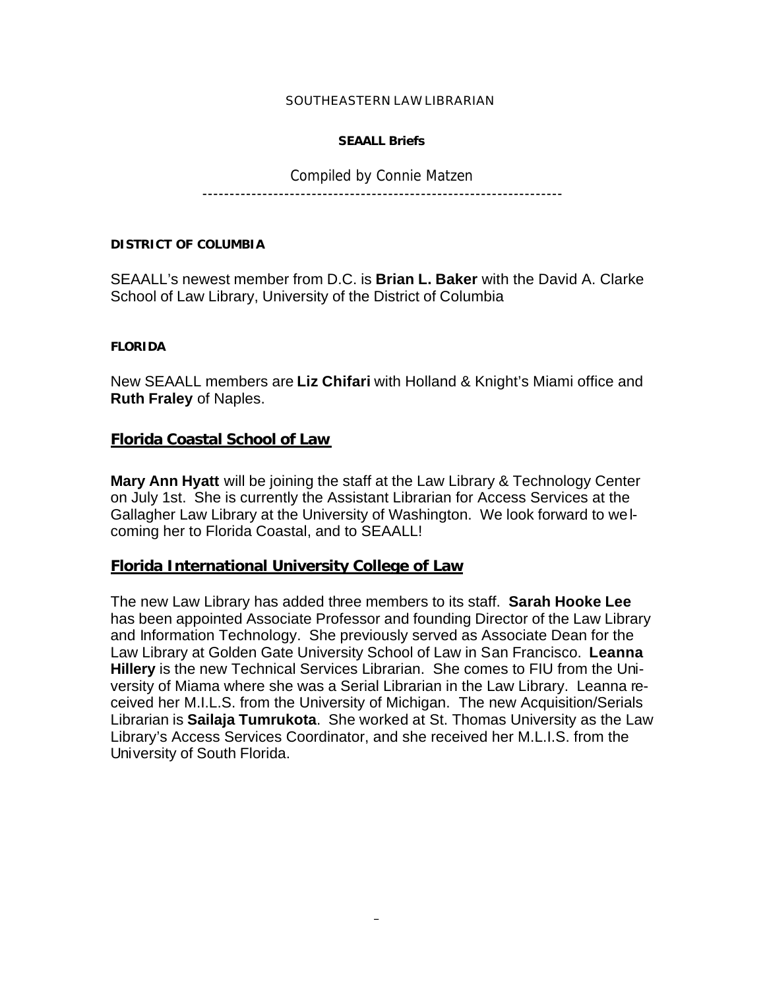# **SEAALL Briefs**

# Compiled by Connie Matzen ------------------------------------------------------------------

## **DISTRICT OF COLUMBIA**

SEAALL's newest member from D.C. is **Brian L. Baker** with the David A. Clarke School of Law Library, University of the District of Columbia

## **FLORIDA**

New SEAALL members are **Liz Chifari** with Holland & Knight's Miami office and **Ruth Fraley** of Naples.

# **Florida Coastal School of Law**

**Mary Ann Hyatt** will be joining the staff at the Law Library & Technology Center on July 1st. She is currently the Assistant Librarian for Access Services at the Gallagher Law Library at the University of Washington. We look forward to welcoming her to Florida Coastal, and to SEAALL!

# **Florida International University College of Law**

The new Law Library has added three members to its staff. **Sarah Hooke Lee** has been appointed Associate Professor and founding Director of the Law Library and Information Technology. She previously served as Associate Dean for the Law Library at Golden Gate University School of Law in San Francisco. **Leanna Hillery** is the new Technical Services Librarian. She comes to FIU from the University of Miama where she was a Serial Librarian in the Law Library. Leanna received her M.I.L.S. from the University of Michigan. The new Acquisition/Serials Librarian is **Sailaja Tumrukota**. She worked at St. Thomas University as the Law Library's Access Services Coordinator, and she received her M.L.I.S. from the University of South Florida.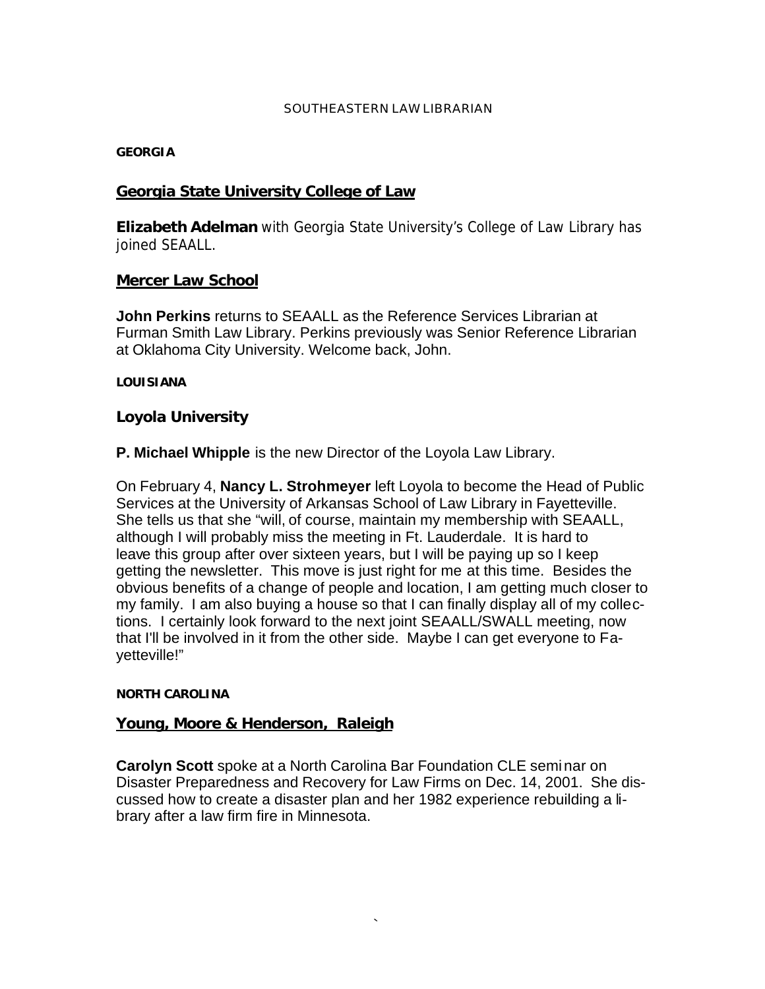## **GEORGIA**

# **Georgia State University College of Law**

**Elizabeth Adelman** with Georgia State University's College of Law Library has joined SEAALL.

# **Mercer Law School**

**John Perkins** returns to SEAALL as the Reference Services Librarian at Furman Smith Law Library. Perkins previously was Senior Reference Librarian at Oklahoma City University. Welcome back, John.

# **LOUISIANA**

# **Loyola University**

**P. Michael Whipple** is the new Director of the Loyola Law Library.

On February 4, **Nancy L. Strohmeyer** left Loyola to become the Head of Public Services at the University of Arkansas School of Law Library in Fayetteville. She tells us that she "will, of course, maintain my membership with SEAALL, although I will probably miss the meeting in Ft. Lauderdale. It is hard to leave this group after over sixteen years, but I will be paying up so I keep getting the newsletter. This move is just right for me at this time. Besides the obvious benefits of a change of people and location, I am getting much closer to my family. I am also buying a house so that I can finally display all of my collections. I certainly look forward to the next joint SEAALL/SWALL meeting, now that I'll be involved in it from the other side. Maybe I can get everyone to Fayetteville!"

## **NORTH CAROLINA**

# **Young, Moore & Henderson, Raleigh**

**Carolyn Scott** spoke at a North Carolina Bar Foundation CLE seminar on Disaster Preparedness and Recovery for Law Firms on Dec. 14, 2001. She discussed how to create a disaster plan and her 1982 experience rebuilding a library after a law firm fire in Minnesota.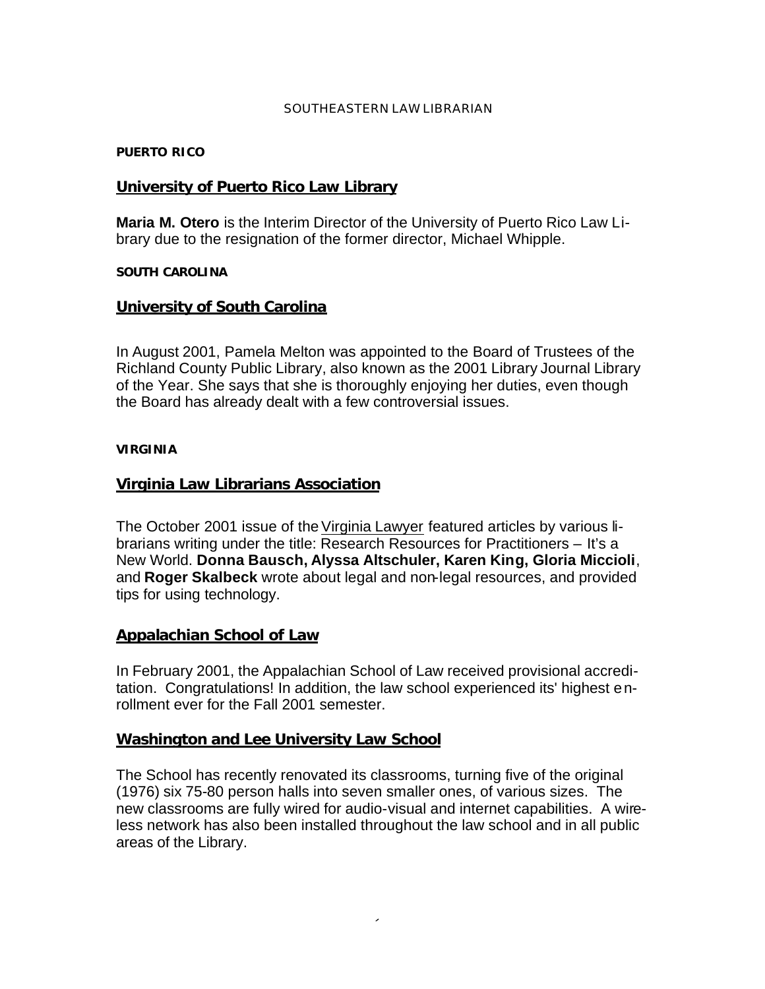## **PUERTO RICO**

# **University of Puerto Rico Law Library**

**Maria M. Otero** is the Interim Director of the University of Puerto Rico Law Library due to the resignation of the former director, Michael Whipple.

## **SOUTH CAROLINA**

# **University of South Carolina**

In August 2001, Pamela Melton was appointed to the Board of Trustees of the Richland County Public Library, also known as the 2001 Library Journal Library of the Year. She says that she is thoroughly enjoying her duties, even though the Board has already dealt with a few controversial issues.

# **VIRGINIA**

# **Virginia Law Librarians Association**

The October 2001 issue of the Virginia Lawyer featured articles by various librarians writing under the title: Research Resources for Practitioners – It's a New World. **Donna Bausch, Alyssa Altschuler, Karen King, Gloria Miccioli**, and **Roger Skalbeck** wrote about legal and non-legal resources, and provided tips for using technology.

# **Appalachian School of Law**

In February 2001, the Appalachian School of Law received provisional accreditation. Congratulations! In addition, the law school experienced its' highest enrollment ever for the Fall 2001 semester.

# **Washington and Lee University Law School**

The School has recently renovated its classrooms, turning five of the original (1976) six 75-80 person halls into seven smaller ones, of various sizes. The new classrooms are fully wired for audio-visual and internet capabilities. A wireless network has also been installed throughout the law school and in all public areas of the Library.

 $\overline{a}$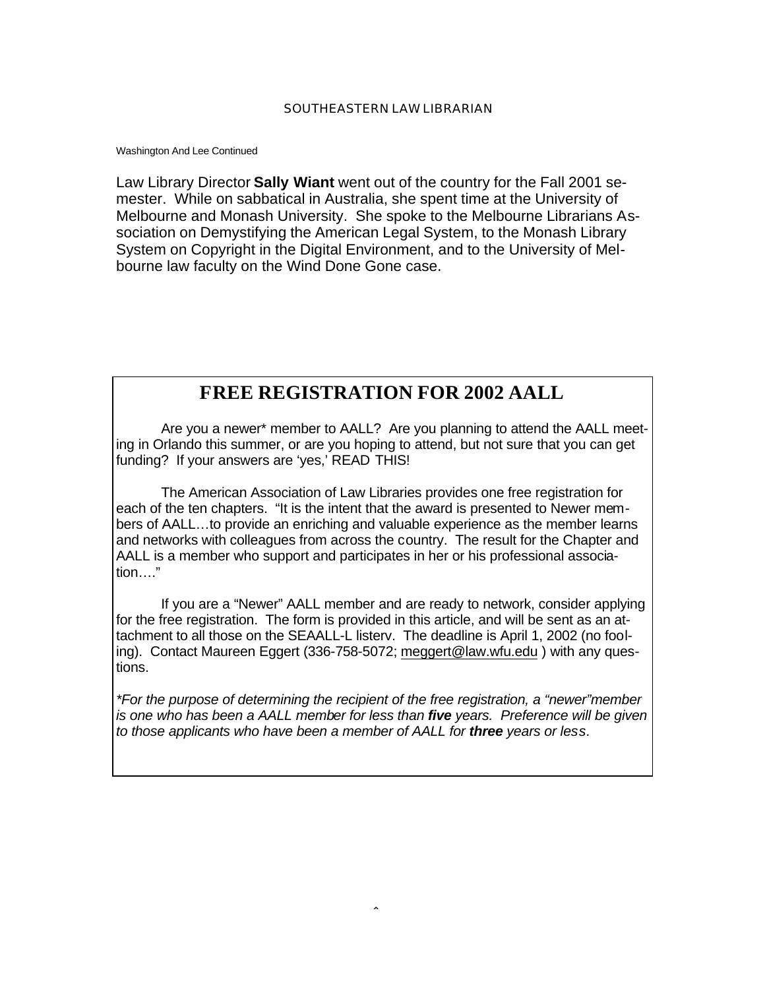Washington And Lee Continued

Law Library Director **Sally Wiant** went out of the country for the Fall 2001 semester. While on sabbatical in Australia, she spent time at the University of Melbourne and Monash University. She spoke to the Melbourne Librarians Association on Demystifying the American Legal System, to the Monash Library System on Copyright in the Digital Environment, and to the University of Melbourne law faculty on the Wind Done Gone case.

# **FREE REGISTRATION FOR 2002 AALL**

Are you a newer\* member to AALL? Are you planning to attend the AALL meeting in Orlando this summer, or are you hoping to attend, but not sure that you can get funding? If your answers are 'yes,' READ THIS!

The American Association of Law Libraries provides one free registration for each of the ten chapters. "It is the intent that the award is presented to Newer members of AALL…to provide an enriching and valuable experience as the member learns and networks with colleagues from across the country. The result for the Chapter and AALL is a member who support and participates in her or his professional association…."

 If you are a "Newer" AALL member and are ready to network, consider applying for the free registration. The form is provided in this article, and will be sent as an attachment to all those on the SEAALL-L listerv. The deadline is April 1, 2002 (no fooling). Contact Maureen Eggert (336-758-5072; meggert@law.wfu.edu ) with any questions.

*\*For the purpose of determining the recipient of the free registration, a "newer"member is one who has been a AALL member for less than five years. Preference will be given to those applicants who have been a member of AALL for three years or less.*

 $\hat{ }$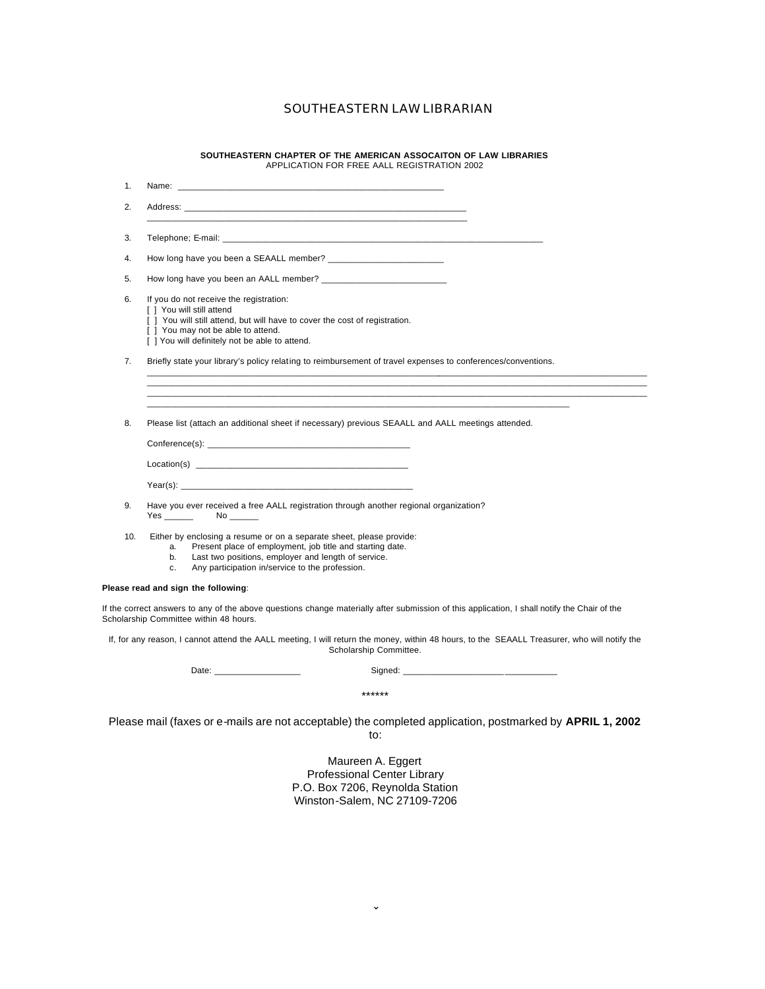#### **SOUTHEASTERN CHAPTER OF THE AMERICAN ASSOCAITON OF LAW LIBRARIES** APPLICATION FOR FREE AALL REGISTRATION 2002

2. Address: \_\_\_\_\_\_\_\_\_\_\_\_\_\_\_\_\_\_\_\_\_\_\_\_\_\_\_\_\_\_\_\_\_\_\_\_\_\_\_\_\_\_\_\_\_\_\_\_\_\_\_\_\_\_\_\_\_\_ \_\_\_\_\_\_\_\_\_\_\_\_\_\_\_\_\_\_\_\_\_\_\_\_\_\_\_\_\_\_\_\_\_\_\_\_\_\_\_\_\_\_\_\_\_\_\_\_\_\_\_\_\_\_\_\_\_\_\_\_\_\_\_\_\_\_ 3. Telephone; E-mail: 4. How long have you been a SEAALL member? 5. How long have you been an AALL member? \_\_\_\_\_ 6. If you do not receive the registration: [  $j$  You will still attend [ ] You will still attend, but will have to cover the cost of registration. [ ] You may not be able to attend. [ ] You will definitely not be able to attend. 7. Briefly state your library's policy relating to reimbursement of travel expenses to conferences/conventions. \_\_\_\_\_\_\_\_\_\_\_\_\_\_\_\_\_\_\_\_\_\_\_\_\_\_\_\_\_\_\_\_\_\_\_\_\_\_\_\_\_\_\_\_\_\_\_\_\_\_\_\_\_\_\_\_\_\_\_\_\_\_\_\_\_\_\_\_\_\_\_\_\_\_\_\_\_\_\_\_\_\_\_\_\_\_\_\_\_\_\_\_\_\_\_\_\_\_\_\_\_\_\_ \_\_\_\_\_\_\_\_\_\_\_\_\_\_\_\_\_\_\_\_\_\_\_\_\_\_\_\_\_\_\_\_\_\_\_\_\_\_\_\_\_\_\_\_\_\_\_\_\_\_\_\_\_\_\_\_\_\_\_\_\_\_\_\_\_\_\_\_\_\_\_\_\_\_\_\_\_\_\_\_\_\_\_\_\_\_\_\_\_\_\_\_\_\_\_\_\_\_\_\_\_\_\_ \_\_\_\_\_\_\_\_\_\_\_\_\_\_\_\_\_\_\_\_\_\_\_\_\_\_\_\_\_\_\_\_\_\_\_\_\_\_\_\_\_\_\_\_\_\_\_\_\_\_\_\_\_\_\_\_\_\_\_\_\_\_\_\_\_\_\_\_\_\_\_\_\_\_\_\_\_\_\_\_\_\_\_\_\_\_\_\_\_\_\_\_\_\_\_\_\_\_\_\_\_\_\_ \_\_\_\_\_\_\_\_\_\_\_\_\_\_\_\_\_\_\_\_\_\_\_\_\_\_\_\_\_\_\_\_\_\_\_\_\_\_\_\_\_\_\_\_\_\_\_\_\_\_\_\_\_\_\_\_\_\_\_\_\_\_\_\_\_\_\_\_\_\_\_\_\_\_\_\_\_\_\_\_\_\_\_\_\_\_\_ 8. Please list (attach an additional sheet if necessary) previous SEAALL and AALL meetings attended. Conference(s): \_\_\_\_\_\_\_\_\_\_\_\_\_\_\_\_\_\_\_\_\_\_\_\_\_\_\_\_\_\_\_\_\_\_\_\_\_\_\_\_\_\_ Location(s) \_\_\_\_\_\_\_\_\_\_\_\_\_\_\_\_\_\_\_\_\_\_\_\_\_\_\_\_\_\_\_\_\_\_\_\_\_\_\_\_\_\_\_\_ Year(s):  $\_\_$ 9. Have you ever received a free AALL registration through another regional organization? Yes \_\_\_\_\_\_\_\_\_ No \_

- 10. Either by enclosing a resume or on a separate sheet, please provide:
	- a. Present place of employment, job title and starting date.
		- b. Last two positions, employer and length of service.
	- c. Any participation in/service to the profession.

#### **Please read and sign the following**:

1. Name: \_

If the correct answers to any of the above questions change materially after submission of this application, I shall notify the Chair of the Scholarship Committee within 48 hours.

If, for any reason, I cannot attend the AALL meeting, I will return the money, within 48 hours, to the SEAALL Treasurer, who will notify the Scholarship Committee.

Date: \_\_\_\_\_\_\_\_\_\_\_\_\_\_\_\_\_\_ Signed: \_\_\_\_\_\_\_\_\_\_\_\_\_\_\_\_\_\_\_\_\_\_\_\_\_\_\_\_\_\_\_\_

Please mail (faxes or e-mails are not acceptable) the completed application, postmarked by **APRIL 1, 2002**

\*\*\*\*\*\*

to:

Maureen A. Eggert Professional Center Library P.O. Box 7206, Reynolda Station Winston-Salem, NC 27109-7206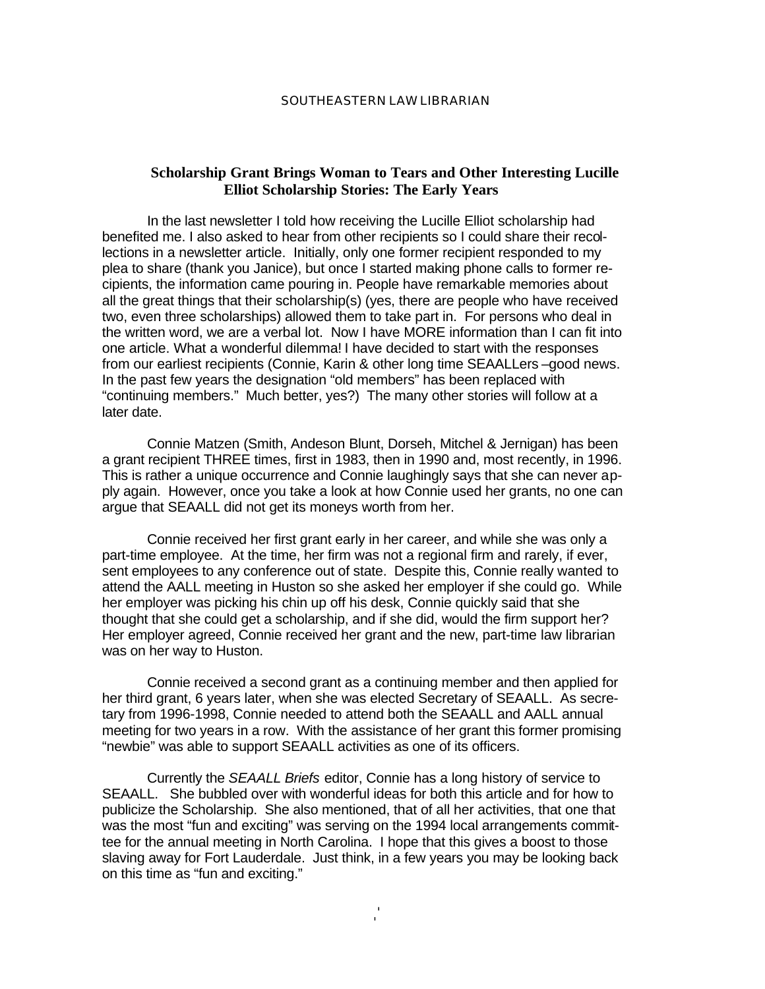## **Scholarship Grant Brings Woman to Tears and Other Interesting Lucille Elliot Scholarship Stories: The Early Years**

In the last newsletter I told how receiving the Lucille Elliot scholarship had benefited me. I also asked to hear from other recipients so I could share their recollections in a newsletter article. Initially, only one former recipient responded to my plea to share (thank you Janice), but once I started making phone calls to former recipients, the information came pouring in. People have remarkable memories about all the great things that their scholarship(s) (yes, there are people who have received two, even three scholarships) allowed them to take part in. For persons who deal in the written word, we are a verbal lot. Now I have MORE information than I can fit into one article. What a wonderful dilemma! I have decided to start with the responses from our earliest recipients (Connie, Karin & other long time SEAALLers –good news. In the past few years the designation "old members" has been replaced with "continuing members." Much better, yes?) The many other stories will follow at a later date.

Connie Matzen (Smith, Andeson Blunt, Dorseh, Mitchel & Jernigan) has been a grant recipient THREE times, first in 1983, then in 1990 and, most recently, in 1996. This is rather a unique occurrence and Connie laughingly says that she can never apply again. However, once you take a look at how Connie used her grants, no one can argue that SEAALL did not get its moneys worth from her.

Connie received her first grant early in her career, and while she was only a part-time employee. At the time, her firm was not a regional firm and rarely, if ever, sent employees to any conference out of state. Despite this, Connie really wanted to attend the AALL meeting in Huston so she asked her employer if she could go. While her employer was picking his chin up off his desk, Connie quickly said that she thought that she could get a scholarship, and if she did, would the firm support her? Her employer agreed, Connie received her grant and the new, part-time law librarian was on her way to Huston.

Connie received a second grant as a continuing member and then applied for her third grant, 6 years later, when she was elected Secretary of SEAALL. As secretary from 1996-1998, Connie needed to attend both the SEAALL and AALL annual meeting for two years in a row. With the assistance of her grant this former promising "newbie" was able to support SEAALL activities as one of its officers.

Currently the *SEAALL Briefs* editor, Connie has a long history of service to SEAALL. She bubbled over with wonderful ideas for both this article and for how to publicize the Scholarship. She also mentioned, that of all her activities, that one that was the most "fun and exciting" was serving on the 1994 local arrangements committee for the annual meeting in North Carolina. I hope that this gives a boost to those slaving away for Fort Lauderdale. Just think, in a few years you may be looking back on this time as "fun and exciting."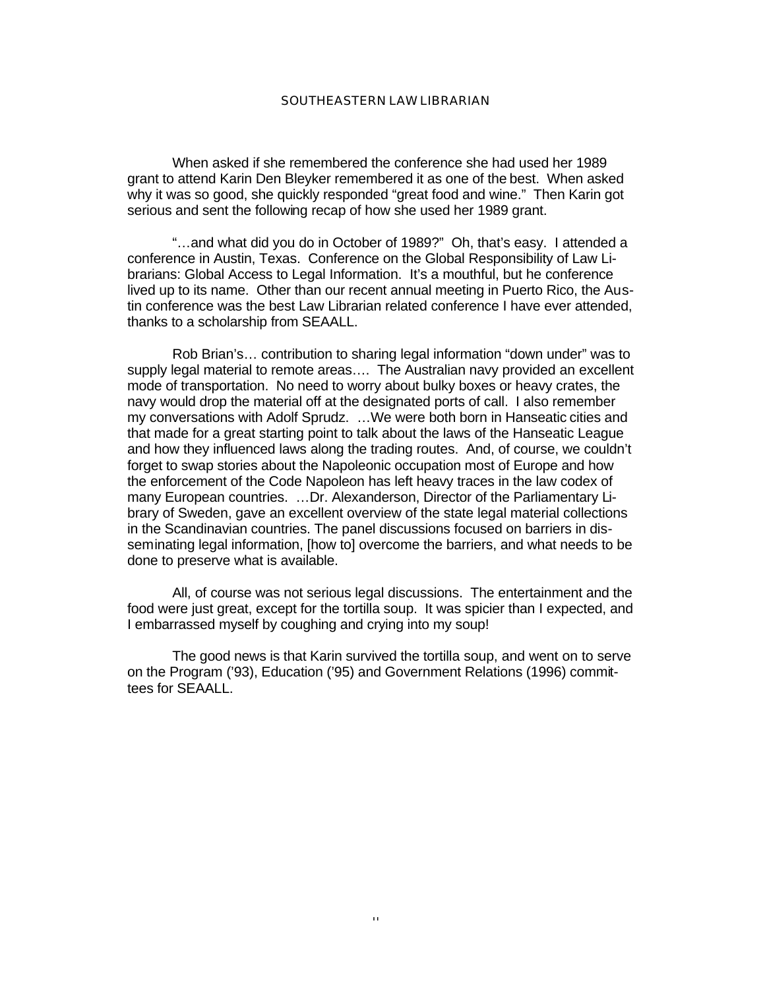When asked if she remembered the conference she had used her 1989 grant to attend Karin Den Bleyker remembered it as one of the best. When asked why it was so good, she quickly responded "great food and wine." Then Karin got serious and sent the following recap of how she used her 1989 grant.

"…and what did you do in October of 1989?" Oh, that's easy. I attended a conference in Austin, Texas. Conference on the Global Responsibility of Law Librarians: Global Access to Legal Information. It's a mouthful, but he conference lived up to its name. Other than our recent annual meeting in Puerto Rico, the Austin conference was the best Law Librarian related conference I have ever attended, thanks to a scholarship from SEAALL.

Rob Brian's… contribution to sharing legal information "down under" was to supply legal material to remote areas…. The Australian navy provided an excellent mode of transportation. No need to worry about bulky boxes or heavy crates, the navy would drop the material off at the designated ports of call. I also remember my conversations with Adolf Sprudz. …We were both born in Hanseatic cities and that made for a great starting point to talk about the laws of the Hanseatic League and how they influenced laws along the trading routes. And, of course, we couldn't forget to swap stories about the Napoleonic occupation most of Europe and how the enforcement of the Code Napoleon has left heavy traces in the law codex of many European countries. …Dr. Alexanderson, Director of the Parliamentary Library of Sweden, gave an excellent overview of the state legal material collections in the Scandinavian countries. The panel discussions focused on barriers in disseminating legal information, [how to] overcome the barriers, and what needs to be done to preserve what is available.

All, of course was not serious legal discussions. The entertainment and the food were just great, except for the tortilla soup. It was spicier than I expected, and I embarrassed myself by coughing and crying into my soup!

The good news is that Karin survived the tortilla soup, and went on to serve on the Program ('93), Education ('95) and Government Relations (1996) committees for SEAALL.